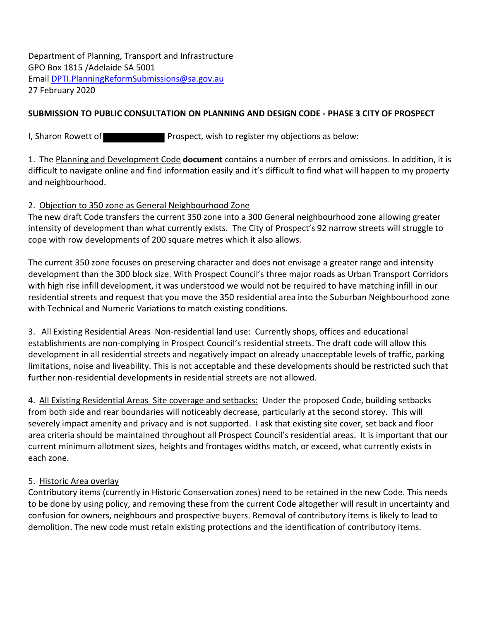Department of Planning, Transport and Infrastructure GPO Box 1815 /Adelaide SA 5001 Email [DPTI.PlanningReformSubmissions@sa.gov.au](mailto:DPTI.PlanningReformSubmissions@sa.gov.au) 27 February 2020

## **SUBMISSION TO PUBLIC CONSULTATION ON PLANNING AND DESIGN CODE - PHASE 3 CITY OF PROSPECT**

I, Sharon Rowett of **Prospect**, wish to register my objections as below:

1. The Planning and Development Code **document** contains a number of errors and omissions. In addition, it is difficult to navigate online and find information easily and it's difficult to find what will happen to my property and neighbourhood.

### 2. Objection to 350 zone as General Neighbourhood Zone

The new draft Code transfers the current 350 zone into a 300 General neighbourhood zone allowing greater intensity of development than what currently exists. The City of Prospect's 92 narrow streets will struggle to cope with row developments of 200 square metres which it also allows.

The current 350 zone focuses on preserving character and does not envisage a greater range and intensity development than the 300 block size. With Prospect Council's three major roads as Urban Transport Corridors with high rise infill development, it was understood we would not be required to have matching infill in our residential streets and request that you move the 350 residential area into the Suburban Neighbourhood zone with Technical and Numeric Variations to match existing conditions.

3. All Existing Residential Areas Non-residential land use: Currently shops, offices and educational establishments are non-complying in Prospect Council's residential streets. The draft code will allow this development in all residential streets and negatively impact on already unacceptable levels of traffic, parking limitations, noise and liveability. This is not acceptable and these developments should be restricted such that further non-residential developments in residential streets are not allowed.

4. All Existing Residential Areas Site coverage and setbacks: Under the proposed Code, building setbacks from both side and rear boundaries will noticeably decrease, particularly at the second storey. This will severely impact amenity and privacy and is not supported. I ask that existing site cover, set back and floor area criteria should be maintained throughout all Prospect Council's residential areas. It is important that our current minimum allotment sizes, heights and frontages widths match, or exceed, what currently exists in each zone.

#### 5. Historic Area overlay

Contributory items (currently in Historic Conservation zones) need to be retained in the new Code. This needs to be done by using policy, and removing these from the current Code altogether will result in uncertainty and confusion for owners, neighbours and prospective buyers. Removal of contributory items is likely to lead to demolition. The new code must retain existing protections and the identification of contributory items.